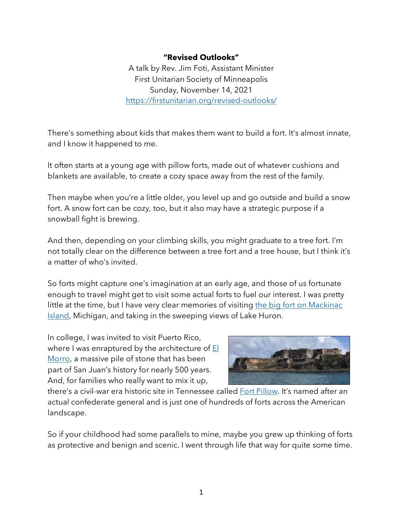## **"Revised Outlooks"**

A talk by Rev. Jim Foti, Assistant Minister First Unitarian Society of Minneapolis Sunday, November 14, 2021 https://firstunitarian.org/revised-outlooks/

There's something about kids that makes them want to build a fort. It's almost innate, and I know it happened to me.

It often starts at a young age with pillow forts, made out of whatever cushions and blankets are available, to create a cozy space away from the rest of the family.

Then maybe when you're a little older, you level up and go outside and build a snow fort. A snow fort can be cozy, too, but it also may have a strategic purpose if a snowball fight is brewing.

And then, depending on your climbing skills, you might graduate to a tree fort. I'm not totally clear on the difference between a tree fort and a tree house, but I think it's a matter of who's invited.

So forts might capture one's imagination at an early age, and those of us fortunate enough to travel might get to visit some actual forts to fuel our interest. I was pretty little at the time, but I have very clear memories of visiting the big fort on Mackinac Island, Michigan, and taking in the sweeping views of Lake Huron.

In college, I was invited to visit Puerto Rico, where I was enraptured by the architecture of  $E$ Morro, a massive pile of stone that has been part of San Juan's history for nearly 500 years. And, for families who really want to mix it up,



there's a civil-war era historic site in Tennessee called Fort Pillow. It's named after an actual confederate general and is just one of hundreds of forts across the American landscape.

So if your childhood had some parallels to mine, maybe you grew up thinking of forts as protective and benign and scenic. I went through life that way for quite some time.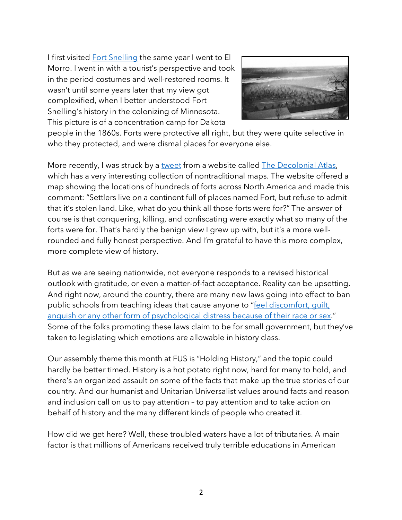I first visited Fort Snelling the same year I went to El Morro. I went in with a tourist's perspective and took in the period costumes and well-restored rooms. It wasn't until some years later that my view got complexified, when I better understood Fort Snelling's history in the colonizing of Minnesota. This picture is of a concentration camp for Dakota



people in the 1860s. Forts were protective all right, but they were quite selective in who they protected, and were dismal places for everyone else.

More recently, I was struck by a tweet from a website called The Decolonial Atlas, which has a very interesting collection of nontraditional maps. The website offered a map showing the locations of hundreds of forts across North America and made this comment: "Settlers live on a continent full of places named Fort, but refuse to admit that it's stolen land. Like, what do you think all those forts were for?" The answer of course is that conquering, killing, and confiscating were exactly what so many of the forts were for. That's hardly the benign view I grew up with, but it's a more wellrounded and fully honest perspective. And I'm grateful to have this more complex, more complete view of history.

But as we are seeing nationwide, not everyone responds to a revised historical outlook with gratitude, or even a matter-of-fact acceptance. Reality can be upsetting. And right now, around the country, there are many new laws going into effect to ban public schools from teaching ideas that cause anyone to "feel discomfort, quilt, anguish or any other form of psychological distress because of their race or sex." Some of the folks promoting these laws claim to be for small government, but they've taken to legislating which emotions are allowable in history class.

Our assembly theme this month at FUS is "Holding History," and the topic could hardly be better timed. History is a hot potato right now, hard for many to hold, and there's an organized assault on some of the facts that make up the true stories of our country. And our humanist and Unitarian Universalist values around facts and reason and inclusion call on us to pay attention – to pay attention and to take action on behalf of history and the many different kinds of people who created it.

How did we get here? Well, these troubled waters have a lot of tributaries. A main factor is that millions of Americans received truly terrible educations in American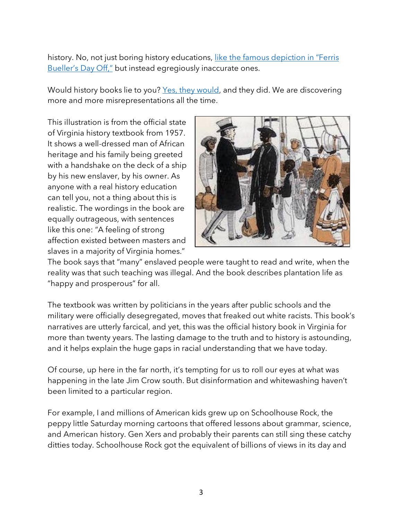history. No, not just boring history educations, like the famous depiction in "Ferris Bueller's Day Off," but instead egregiously inaccurate ones.

Would history books lie to you? Yes, they would, and they did. We are discovering more and more misrepresentations all the time.

This illustration is from the official state of Virginia history textbook from 1957. It shows a well-dressed man of African heritage and his family being greeted with a handshake on the deck of a ship by his new enslaver, by his owner. As anyone with a real history education can tell you, not a thing about this is realistic. The wordings in the book are equally outrageous, with sentences like this one: "A feeling of strong affection existed between masters and slaves in a majority of Virginia homes."



The book says that "many" enslaved people were taught to read and write, when the reality was that such teaching was illegal. And the book describes plantation life as "happy and prosperous" for all.

The textbook was written by politicians in the years after public schools and the military were officially desegregated, moves that freaked out white racists. This book's narratives are utterly farcical, and yet, this was the official history book in Virginia for more than twenty years. The lasting damage to the truth and to history is astounding, and it helps explain the huge gaps in racial understanding that we have today.

Of course, up here in the far north, it's tempting for us to roll our eyes at what was happening in the late Jim Crow south. But disinformation and whitewashing haven't been limited to a particular region.

For example, I and millions of American kids grew up on Schoolhouse Rock, the peppy little Saturday morning cartoons that offered lessons about grammar, science, and American history. Gen Xers and probably their parents can still sing these catchy ditties today. Schoolhouse Rock got the equivalent of billions of views in its day and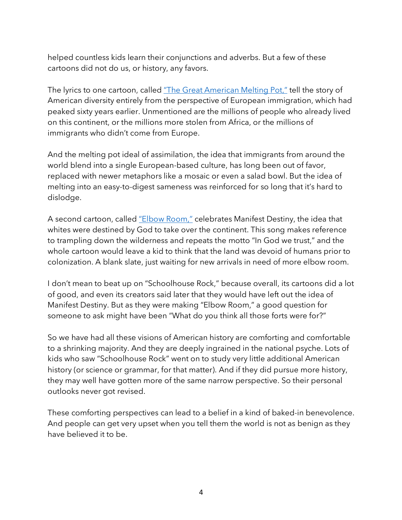helped countless kids learn their conjunctions and adverbs. But a few of these cartoons did not do us, or history, any favors.

The lyrics to one cartoon, called "The Great American Melting Pot," tell the story of American diversity entirely from the perspective of European immigration, which had peaked sixty years earlier. Unmentioned are the millions of people who already lived on this continent, or the millions more stolen from Africa, or the millions of immigrants who didn't come from Europe.

And the melting pot ideal of assimilation, the idea that immigrants from around the world blend into a single European-based culture, has long been out of favor, replaced with newer metaphors like a mosaic or even a salad bowl. But the idea of melting into an easy-to-digest sameness was reinforced for so long that it's hard to dislodge.

A second cartoon, called "Elbow Room," celebrates Manifest Destiny, the idea that whites were destined by God to take over the continent. This song makes reference to trampling down the wilderness and repeats the motto "In God we trust," and the whole cartoon would leave a kid to think that the land was devoid of humans prior to colonization. A blank slate, just waiting for new arrivals in need of more elbow room.

I don't mean to beat up on "Schoolhouse Rock," because overall, its cartoons did a lot of good, and even its creators said later that they would have left out the idea of Manifest Destiny. But as they were making "Elbow Room," a good question for someone to ask might have been "What do you think all those forts were for?"

So we have had all these visions of American history are comforting and comfortable to a shrinking majority. And they are deeply ingrained in the national psyche. Lots of kids who saw "Schoolhouse Rock" went on to study very little additional American history (or science or grammar, for that matter). And if they did pursue more history, they may well have gotten more of the same narrow perspective. So their personal outlooks never got revised.

These comforting perspectives can lead to a belief in a kind of baked-in benevolence. And people can get very upset when you tell them the world is not as benign as they have believed it to be.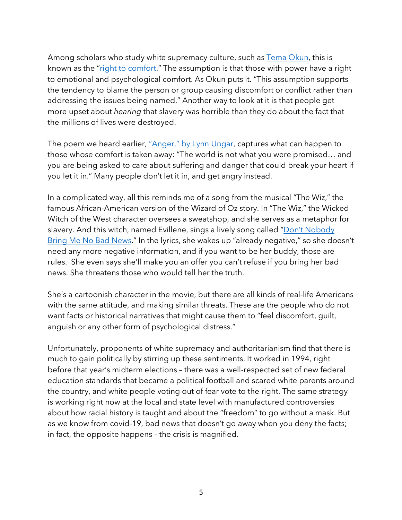Among scholars who study white supremacy culture, such as Tema Okun, this is known as the "right to comfort." The assumption is that those with power have a right to emotional and psychological comfort. As Okun puts it. "This assumption supports the tendency to blame the person or group causing discomfort or conflict rather than addressing the issues being named." Another way to look at it is that people get more upset about *hearing* that slavery was horrible than they do about the fact that the millions of lives were destroyed.

The poem we heard earlier, "Anger," by Lynn Ungar, captures what can happen to those whose comfort is taken away: "The world is not what you were promised… and you are being asked to care about suffering and danger that could break your heart if you let it in." Many people don't let it in, and get angry instead.

In a complicated way, all this reminds me of a song from the musical "The Wiz," the famous African-American version of the Wizard of Oz story. In "The Wiz," the Wicked Witch of the West character oversees a sweatshop, and she serves as a metaphor for slavery. And this witch, named Evillene, sings a lively song called "Don't Nobody Bring Me No Bad News." In the lyrics, she wakes up "already negative," so she doesn't need any more negative information, and if you want to be her buddy, those are rules. She even says she'll make you an offer you can't refuse if you bring her bad news. She threatens those who would tell her the truth.

She's a cartoonish character in the movie, but there are all kinds of real-life Americans with the same attitude, and making similar threats. These are the people who do not want facts or historical narratives that might cause them to "feel discomfort, guilt, anguish or any other form of psychological distress."

Unfortunately, proponents of white supremacy and authoritarianism find that there is much to gain politically by stirring up these sentiments. It worked in 1994, right before that year's midterm elections – there was a well-respected set of new federal education standards that became a political football and scared white parents around the country, and white people voting out of fear vote to the right. The same strategy is working right now at the local and state level with manufactured controversies about how racial history is taught and about the "freedom" to go without a mask. But as we know from covid-19, bad news that doesn't go away when you deny the facts; in fact, the opposite happens – the crisis is magnified.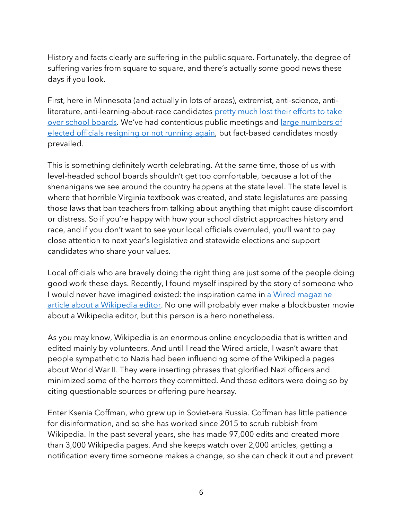History and facts clearly are suffering in the public square. Fortunately, the degree of suffering varies from square to square, and there's actually some good news these days if you look.

First, here in Minnesota (and actually in lots of areas), extremist, anti-science, antiliterature, anti-learning-about-race candidates pretty much lost their efforts to take over school boards. We've had contentious public meetings and *large numbers of* elected officials resigning or not running again, but fact-based candidates mostly prevailed.

This is something definitely worth celebrating. At the same time, those of us with level-headed school boards shouldn't get too comfortable, because a lot of the shenanigans we see around the country happens at the state level. The state level is where that horrible Virginia textbook was created, and state legislatures are passing those laws that ban teachers from talking about anything that might cause discomfort or distress. So if you're happy with how your school district approaches history and race, and if you don't want to see your local officials overruled, you'll want to pay close attention to next year's legislative and statewide elections and support candidates who share your values.

Local officials who are bravely doing the right thing are just some of the people doing good work these days. Recently, I found myself inspired by the story of someone who I would never have imagined existed: the inspiration came in a Wired magazine article about a Wikipedia editor. No one will probably ever make a blockbuster movie about a Wikipedia editor, but this person is a hero nonetheless.

As you may know, Wikipedia is an enormous online encyclopedia that is written and edited mainly by volunteers. And until I read the Wired article, I wasn't aware that people sympathetic to Nazis had been influencing some of the Wikipedia pages about World War II. They were inserting phrases that glorified Nazi officers and minimized some of the horrors they committed. And these editors were doing so by citing questionable sources or offering pure hearsay.

Enter Ksenia Coffman, who grew up in Soviet-era Russia. Coffman has little patience for disinformation, and so she has worked since 2015 to scrub rubbish from Wikipedia. In the past several years, she has made 97,000 edits and created more than 3,000 Wikipedia pages. And she keeps watch over 2,000 articles, getting a notification every time someone makes a change, so she can check it out and prevent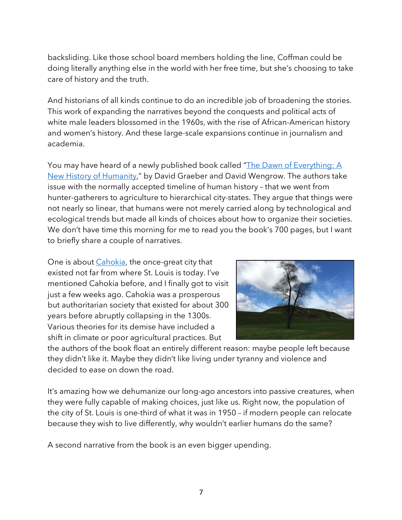backsliding. Like those school board members holding the line, Coffman could be doing literally anything else in the world with her free time, but she's choosing to take care of history and the truth.

And historians of all kinds continue to do an incredible job of broadening the stories. This work of expanding the narratives beyond the conquests and political acts of white male leaders blossomed in the 1960s, with the rise of African-American history and women's history. And these large-scale expansions continue in journalism and academia.

You may have heard of a newly published book called "The Dawn of Everything: A New History of Humanity," by David Graeber and David Wengrow. The authors take issue with the normally accepted timeline of human history – that we went from hunter-gatherers to agriculture to hierarchical city-states. They argue that things were not nearly so linear, that humans were not merely carried along by technological and ecological trends but made all kinds of choices about how to organize their societies. We don't have time this morning for me to read you the book's 700 pages, but I want to briefly share a couple of narratives.

One is about *Cahokia*, the once-great city that existed not far from where St. Louis is today. I've mentioned Cahokia before, and I finally got to visit just a few weeks ago. Cahokia was a prosperous but authoritarian society that existed for about 300 years before abruptly collapsing in the 1300s. Various theories for its demise have included a shift in climate or poor agricultural practices. But



the authors of the book float an entirely different reason: maybe people left because they didn't like it. Maybe they didn't like living under tyranny and violence and decided to ease on down the road.

It's amazing how we dehumanize our long-ago ancestors into passive creatures, when they were fully capable of making choices, just like us. Right now, the population of the city of St. Louis is one-third of what it was in 1950 – if modern people can relocate because they wish to live differently, why wouldn't earlier humans do the same?

A second narrative from the book is an even bigger upending.